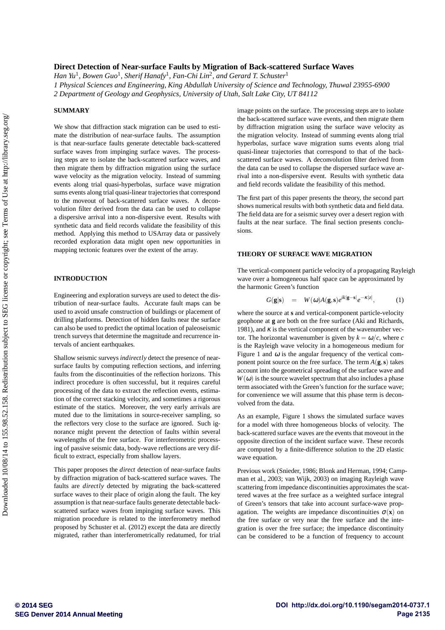# **Direct Detection of Near-surface Faults by Migration of Back-scattered Surface Waves**

 $H$ an Yu<sup>1</sup>, Bowen Guo<sup>1</sup>, Sherif Hanafy<sup>1</sup>, Fan-Chi Lin<sup>2</sup>, and Gerard T. Schuster<sup>1</sup> *1 Physical Sciences and Engineering, King Abdullah University of Science and Technology, Thuwal 23955-6900 2 Department of Geology and Geophysics, University of Utah, Salt Lake City, UT 84112*

## **SUMMARY**

We show that diffraction stack migration can be used to estimate the distribution of near-surface faults. The assumption is that near-surface faults generate detectable back-scattered surface waves from impinging surface waves. The processing steps are to isolate the back-scattered surface waves, and then migrate them by diffraction migration using the surface wave velocity as the migration velocity. Instead of summing events along trial quasi-hyperbolas, surface wave migration sums events along trial quasi-linear trajectories that correspond to the moveout of back-scattered surface waves. A deconvolution filter derived from the data can be used to collapse a dispersive arrival into a non-dispersive event. Results with synthetic data and field records validate the feasibility of this method. Applying this method to USArray data or passively recorded exploration data might open new opportunities in mapping tectonic features over the extent of the array.

# **INTRODUCTION**

Engineering and exploration surveys are used to detect the distribution of near-surface faults. Accurate fault maps can be used to avoid unsafe construction of buildings or placement of drilling platforms. Detection of hidden faults near the surface can also be used to predict the optimal location of paleoseismic trench surveys that determine the magnitude and recurrence intervals of ancient earthquakes.

Shallow seismic surveys *indirectly* detect the presence of nearsurface faults by computing reflection sections, and inferring faults from the discontinuities of the reflection horizons. This indirect procedure is often successful, but it requires careful processing of the data to extract the reflection events, estimation of the correct stacking velocity, and sometimes a rigorous estimate of the statics. Moreover, the very early arrivals are muted due to the limitations in source-receiver sampling, so the reflectors very close to the surface are ignored. Such ignorance might prevent the detection of faults within several wavelengths of the free surface. For interferometric processing of passive seismic data, body-wave reflections are very difficult to extract, especially from shallow layers.

This paper proposes the *direct* detection of near-surface faults by diffraction migration of back-scattered surface waves. The faults are *directly* detected by migrating the back-scattered surface waves to their place of origin along the fault. The key assumption is that near-surface faults generate detectable backscattered surface waves from impinging surface waves. This migration procedure is related to the interferometry method proposed by Schuster et al. (2012) except the data are directly migrated, rather than interferometrically redatumed, for trial image points on the surface. The processing steps are to isolate the back-scattered surface wave events, and then migrate them by diffraction migration using the surface wave velocity as the migration velocity. Instead of summing events along trial hyperbolas, surface wave migration sums events along trial quasi-linear trajectories that correspond to that of the backscattered surface waves. A deconvolution filter derived from the data can be used to collapse the dispersed surface wave arrival into a non-dispersive event. Results with synthetic data and field records validate the feasibility of this method.

The first part of this paper presents the theory, the second part shows numerical results with both synthetic data and field data. The field data are for a seismic survey over a desert region with faults at the near surface. The final section presents conclusions.

### **THEORY OF SURFACE WAVE MIGRATION**

The vertical-component particle velocity of a propagating Rayleigh wave over a homogeneous half space can be approximated by the harmonic Green's function

$$
G(\mathbf{g}|\mathbf{s}) = W(\omega)A(\mathbf{g}, \mathbf{s})e^{ik|\mathbf{g}-\mathbf{s}|}e^{-\kappa|z|}, \quad (1)
$$

where the source at **s** and vertical-component particle-velocity geophone at **g** are both on the free surface (Aki and Richards, 1981), and  $\kappa$  is the vertical component of the wavenumber vector. The horizontal wavenumber is given by  $k = \omega/c$ , where *c* is the Rayleigh wave velocity in a homogeneous medium for Figure 1 and  $\omega$  is the angular frequency of the vertical component point source on the free surface. The term  $A(\mathbf{g}, \mathbf{s})$  takes account into the geometrical spreading of the surface wave and  $W(\omega)$  is the source wavelet spectrum that also includes a phase term associated with the Green's function for the surface wave; for convenience we will assume that this phase term is deconvolved from the data.

As an example, Figure 1 shows the simulated surface waves for a model with three homogeneous blocks of velocity. The back-scattered surface waves are the events that moveout in the opposite direction of the incident surface wave. These records are computed by a finite-difference solution to the 2D elastic wave equation.

Previous work (Snieder, 1986; Blonk and Herman, 1994; Campman et al., 2003; van Wijk, 2003) on imaging Rayleigh wave scattering from impedance discontinuities approximates the scattered waves at the free surface as a weighted surface integral of Green's tensors that take into account surface-wave propagation. The weights are impedance discontinuities  $\sigma(\mathbf{x})$  on the free surface or very near the free surface and the integration is over the free surface; the impedance discontinuity can be considered to be a function of frequency to account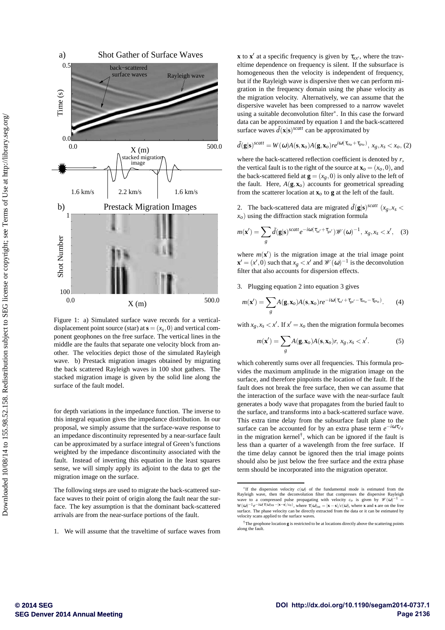

Figure 1: a) Simulated surface wave records for a verticaldisplacement point source (star) at  $\mathbf{s} = (x_s, 0)$  and vertical component geophones on the free surface. The vertical lines in the middle are the faults that separate one velocity block from another. The velocities depict those of the simulated Rayleigh wave. b) Prestack migration images obtained by migrating the back scattered Rayleigh waves in 100 shot gathers. The stacked migration image is given by the solid line along the surface of the fault model.

for depth variations in the impedance function. The inverse to this integral equation gives the impedance distribution. In our proposal, we simply assume that the surface-wave response to an impedance discontinuity represented by a near-surface fault can be approximated by a surface integral of Green's functions weighted by the impedance discontinuity associated with the fault. Instead of inverting this equation in the least squares sense, we will simply apply its adjoint to the data to get the migration image on the surface.

The following steps are used to migrate the back-scattered surface waves to their point of origin along the fault near the surface. The key assumption is that the dominant back-scattered arrivals are from the near-surface portions of the fault.

1. We will assume that the traveltime of surface waves from

**x** to **x**<sup> $\prime$ </sup> at a specific frequency is given by  $\tau_{xx}$ , where the traveltime dependence on frequency is silent. If the subsurface is homogeneous then the velocity is independent of frequency, but if the Rayleigh wave is dispersive then we can perform migration in the frequency domain using the phase velocity as the migration velocity. Alternatively, we can assume that the dispersive wavelet has been compressed to a narrow wavelet using a suitable deconvolution filter<sup>∗</sup> . In this case the forward data can be approximated by equation 1 and the back-scattered surface waves  $\tilde{d}(\mathbf{x}|\mathbf{s})^{scatt}$  can be approximated by

$$
\tilde{d}(\mathbf{g}|\mathbf{s})^{scatt} = W(\boldsymbol{\omega})A(\mathbf{s}, \mathbf{x}_o)A(\mathbf{g}, \mathbf{x}_o)re^{i\boldsymbol{\omega}(\tau_{xx_o} + \tau_{gx_o})}, x_g, x_s < x_o, (2)
$$

where the back-scattered reflection coefficient is denoted by *r*, the vertical fault is to the right of the source at  $\mathbf{x}_o = (x_o, 0)$ , and the back-scattered field at  $\mathbf{g} = (x_g, 0)$  is only alive to the left of the fault. Here,  $A(\mathbf{g}, \mathbf{x}_o)$  accounts for geometrical spreading from the scatterer location at  $\mathbf{x}_o$  to **g** at the left of the fault.

2. The back-scattered data are migrated  $\tilde{d}(\mathbf{g}|\mathbf{s})^{scatt}$  ( $x_g$ ,  $x_s$  <  $x<sub>o</sub>$ ) using the diffraction stack migration formula

$$
m(\mathbf{x}') = \sum_{g} \tilde{d}(\mathbf{g}|\mathbf{s})^{scatt} e^{-i\omega(\tau_{sx'} + \tau_{gx'})} \mathcal{W}(\omega)^{-1}, \, x_g, x_s < x', \quad (3)
$$

where  $m(\mathbf{x}')$  is the migration image at the trial image point  $\mathbf{x}' = (x', 0)$  such that  $x_g < x'$  and  $\mathcal{W}(\omega)^{-1}$  is the deconvolution filter that also accounts for dispersion effects.

3. Plugging equation 2 into equation 3 gives

$$
m(\mathbf{x}') = \sum_{g} A(\mathbf{g}, \mathbf{x}_o) A(\mathbf{s}, \mathbf{x}_o) r e^{-i\omega(\tau_{sx'} + \tau_{gx'} - \tau_{sx_o} - \tau_{gx_o})}.
$$
 (4)

with  $x_g$ ,  $x_s < x'$ . If  $x' = x_o$  then the migration formula becomes

$$
m(\mathbf{x}') = \sum_{g} A(\mathbf{g}, \mathbf{x}_o) A(\mathbf{s}, \mathbf{x}_o) r, x_g, x_s < x'.
$$
 (5)

which coherently sums over all frequencies. This formula provides the maximum amplitude in the migration image on the surface, and therefore pinpoints the location of the fault. If the fault does not break the free surface, then we can assume that the interaction of the surface wave with the near-surface fault generates a body wave that propagates from the buried fault to the surface, and transforms into a back-scattered surface wave. This extra time delay from the subsurface fault plane to the surface can be accounted for by an extra phase term  $e^{-i\omega \tau_{x/g}}$ in the migration kernel<sup>†</sup>, which can be ignored if the fault is less than a quarter of a wavelength from the free surface. If the time delay cannot be ignored then the trial image points should also be just below the free surface and the extra phase term should be incorporated into the migration operator.

<sup>&</sup>lt;sup>\*</sup>If the dispersion velocity  $c(\omega)$  of the fundamental mode is estimated from the Rayleigh wave, then the deconvolution filter that compresses the dispersive Rayleigh wave to a compressed pulse propagating with velocity  $W(\omega)^{-1}e^{-i\omega(\tau(\omega))xs}$  – $|\mathbf{x}-\mathbf{s}|/c_0$ , where  $\tau(\omega)_{xs} = |\mathbf{x}-\mathbf{s}|/c(\omega)$ , where **x** and **s** are on the free surface. The phase velocity can be directly extracted from the data or it can be estimated by velocity scans applied to the surface waves.

<sup>†</sup>The geophone location **g** is restricted to be at locations directly above the scattering points along the fault.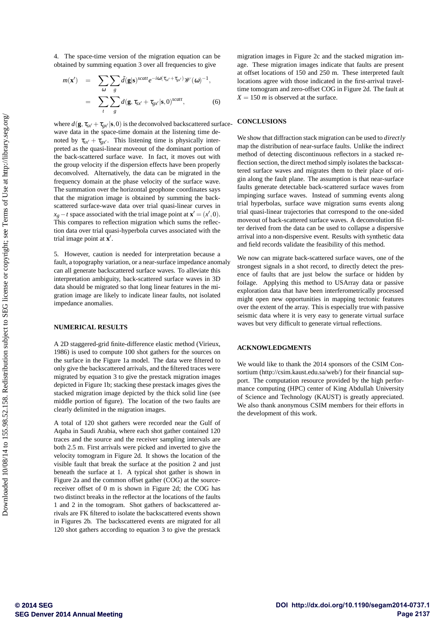4. The space-time version of the migration equation can be obtained by summing equation 3 over all frequencies to give

$$
m(\mathbf{x}') = \sum_{\omega} \sum_{g} \tilde{d}(\mathbf{g}|\mathbf{s})^{scatt} e^{-i\omega(\tau_{\mathbf{x}'} + \tau_{\mathbf{g}x'})} \mathscr{W}(\omega)^{-1},
$$

$$
= \sum_{t} \sum_{g} d(\mathbf{g}, \tau_{\mathbf{x}x'} + \tau_{\mathbf{g}x'}|\mathbf{s}, 0)^{scatt}, \tag{6}
$$

where  $d(\mathbf{g}, \tau_{sx'} + \tau_{gx'} | \mathbf{s}, 0)$  is the deconvolved backscattered surfacewave data in the space-time domain at the listening time denoted by  $\tau_{sx'} + \tau_{gx'}$ . This listening time is physically interpreted as the quasi-linear moveout of the dominant portion of the back-scattered surface wave. In fact, it moves out with the group velocity if the dispersion effects have been properly deconvolved. Alternatively, the data can be migrated in the frequency domain at the phase velocity of the surface wave. The summation over the horizontal geophone coordinates says that the migration image is obtained by summing the backscattered surface-wave data over trial quasi-linear curves in  $x_g - t$  space associated with the trial image point at  $\mathbf{x}' = (x', 0)$ . This compares to reflection migration which sums the reflection data over trial quasi-hyperbola curves associated with the trial image point at **x** ′ .

5. However, caution is needed for interpretation because a fault, a topography variation, or a near-surface impedance anomaly can all generate backscattered surface waves. To alleviate this interpretation ambiguity, back-scattered surface waves in 3D data should be migrated so that long linear features in the migration image are likely to indicate linear faults, not isolated impedance anomalies.

#### **NUMERICAL RESULTS**

A 2D staggered-grid finite-difference elastic method (Virieux, 1986) is used to compute 100 shot gathers for the sources on the surface in the Figure 1a model. The data were filtered to only give the backscattered arrivals, and the filtered traces were migrated by equation 3 to give the prestack migration images depicted in Figure 1b; stacking these prestack images gives the stacked migration image depicted by the thick solid line (see middle portion of figure). The location of the two faults are clearly delimited in the migration images.

A total of 120 shot gathers were recorded near the Gulf of Aqaba in Saudi Arabia, where each shot gather contained 120 traces and the source and the receiver sampling intervals are both 2.5 m. First arrivals were picked and inverted to give the velocity tomogram in Figure 2d. It shows the location of the visible fault that break the surface at the position 2 and just beneath the surface at 1. A typical shot gather is shown in Figure 2a and the common offset gather (COG) at the sourcereceiver offset of 0 m is shown in Figure 2d; the COG has two distinct breaks in the reflector at the locations of the faults 1 and 2 in the tomogram. Shot gathers of backscattered arrivals are FK filtered to isolate the backscattered events shown in Figures 2b. The backscattered events are migrated for all 120 shot gathers according to equation 3 to give the prestack

migration images in Figure 2c and the stacked migration image. These migration images indicate that faults are present at offset locations of 150 and 250 m. These interpreted fault locations agree with those indicated in the first-arrival traveltime tomogram and zero-offset COG in Figure 2d. The fault at  $X = 150$  *m* is observed at the surface.

## **CONCLUSIONS**

We show that diffraction stack migration can be used to *directly* map the distribution of near-surface faults. Unlike the indirect method of detecting discontinuous reflectors in a stacked reflection section, the direct method simply isolates the backscattered surface waves and migrates them to their place of origin along the fault plane. The assumption is that near-surface faults generate detectable back-scattered surface waves from impinging surface waves. Instead of summing events along trial hyperbolas, surface wave migration sums events along trial quasi-linear trajectories that correspond to the one-sided moveout of back-scattered surface waves. A deconvolution filter derived from the data can be used to collapse a dispersive arrival into a non-dispersive event. Results with synthetic data and field records validate the feasibility of this method.

We now can migrate back-scattered surface waves, one of the strongest signals in a shot record, to directly detect the presence of faults that are just below the surface or hidden by foilage. Applying this method to USArray data or passive exploration data that have been interferometrically processed might open new opportunities in mapping tectonic features over the extent of the array. This is especially true with passive seismic data where it is very easy to generate virtual surface waves but very difficult to generate virtual reflections.

## **ACKNOWLEDGMENTS**

We would like to thank the 2014 sponsors of the CSIM Consortium (http://csim.kaust.edu.sa/web/) for their financial support. The computation resource provided by the high performance computing (HPC) center of King Abdullah University of Science and Technology (KAUST) is greatly appreciated. We also thank anonymous CSIM members for their efforts in the development of this work.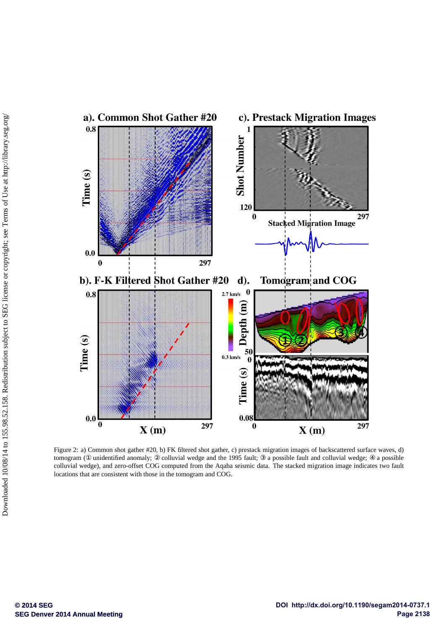

Figure 2: a) Common shot gather #20, b) FK filtered shot gather, c) prestack migration images of backscattered surface waves, d) tomogram (① unidentified anomaly; ② colluvial wedge and the 1995 fault; ③ a possible fault and colluvial wedge; ④ a possible colluvial wedge), and zero-offset COG computed from the Aqaba seismic data. The stacked migration image indicates two fault locations that are consistent with those in the tomogram and COG.